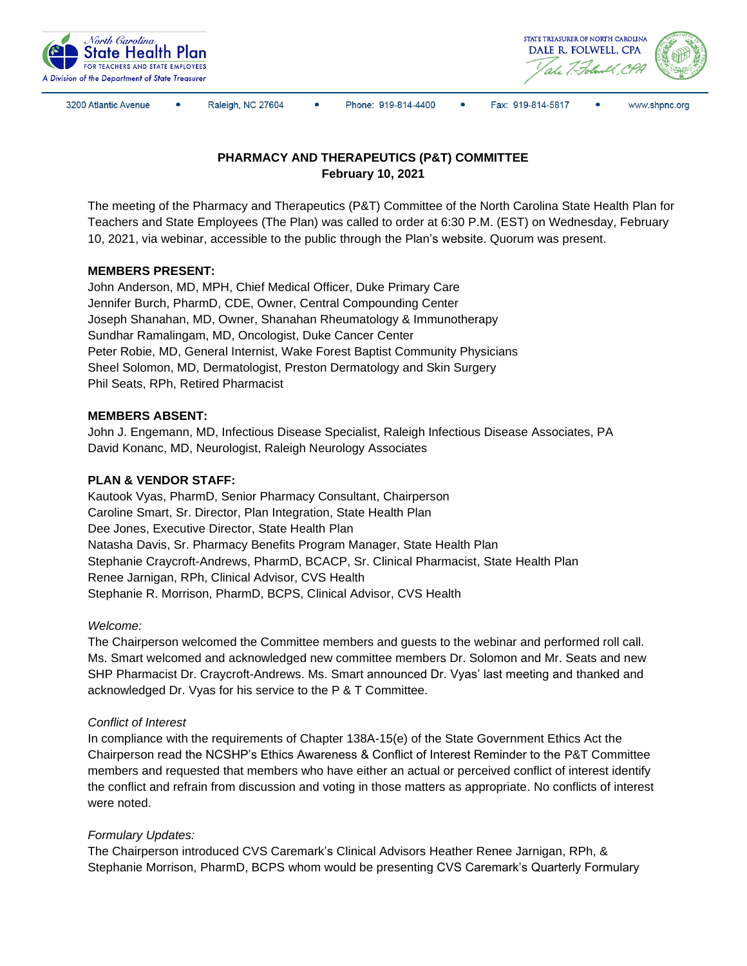



3200 Atlantic Avenue

Raleigh, NC 27604

Phone: 919-814-4400

 $\bullet$ Fax: 919-814-5817



# **PHARMACY AND THERAPEUTICS (P&T) COMMITTEE February 10, 2021**

The meeting of the Pharmacy and Therapeutics (P&T) Committee of the North Carolina State Health Plan for Teachers and State Employees (The Plan) was called to order at 6:30 P.M. (EST) on Wednesday, February 10, 2021, via webinar, accessible to the public through the Plan's website. Quorum was present.

# **MEMBERS PRESENT:**

John Anderson, MD, MPH, Chief Medical Officer, Duke Primary Care Jennifer Burch, PharmD, CDE, Owner, Central Compounding Center Joseph Shanahan, MD, Owner, Shanahan Rheumatology & Immunotherapy Sundhar Ramalingam, MD, Oncologist, Duke Cancer Center Peter Robie, MD, General Internist, Wake Forest Baptist Community Physicians Sheel Solomon, MD, Dermatologist, Preston Dermatology and Skin Surgery Phil Seats, RPh, Retired Pharmacist

# **MEMBERS ABSENT:**

John J. Engemann, MD, Infectious Disease Specialist, Raleigh Infectious Disease Associates, PA David Konanc, MD, Neurologist, Raleigh Neurology Associates

## **PLAN & VENDOR STAFF:**

Kautook Vyas, PharmD, Senior Pharmacy Consultant, Chairperson Caroline Smart, Sr. Director, Plan Integration, State Health Plan Dee Jones, Executive Director, State Health Plan Natasha Davis, Sr. Pharmacy Benefits Program Manager, State Health Plan Stephanie Craycroft-Andrews, PharmD, BCACP, Sr. Clinical Pharmacist, State Health Plan Renee Jarnigan, RPh, Clinical Advisor, CVS Health Stephanie R. Morrison, PharmD, BCPS, Clinical Advisor, CVS Health

## *Welcome:*

The Chairperson welcomed the Committee members and guests to the webinar and performed roll call. Ms. Smart welcomed and acknowledged new committee members Dr. Solomon and Mr. Seats and new SHP Pharmacist Dr. Craycroft-Andrews. Ms. Smart announced Dr. Vyas' last meeting and thanked and acknowledged Dr. Vyas for his service to the P & T Committee.

## *Conflict of Interest*

In compliance with the requirements of Chapter 138A-15(e) of the State Government Ethics Act the Chairperson read the NCSHP's Ethics Awareness & Conflict of Interest Reminder to the P&T Committee members and requested that members who have either an actual or perceived conflict of interest identify the conflict and refrain from discussion and voting in those matters as appropriate. No conflicts of interest were noted.

## *Formulary Updates:*

The Chairperson introduced CVS Caremark's Clinical Advisors Heather Renee Jarnigan, RPh, & Stephanie Morrison, PharmD, BCPS whom would be presenting CVS Caremark's Quarterly Formulary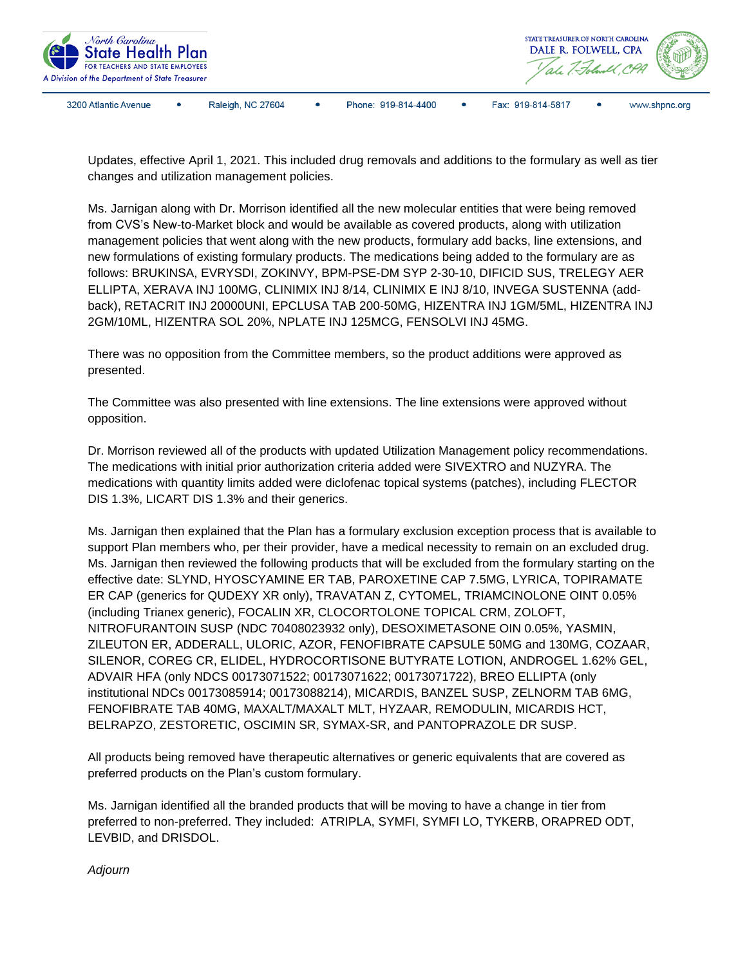

Updates, effective April 1, 2021. This included drug removals and additions to the formulary as well as tier changes and utilization management policies.

Ms. Jarnigan along with Dr. Morrison identified all the new molecular entities that were being removed from CVS's New-to-Market block and would be available as covered products, along with utilization management policies that went along with the new products, formulary add backs, line extensions, and new formulations of existing formulary products. The medications being added to the formulary are as follows: BRUKINSA, EVRYSDI, ZOKINVY, BPM-PSE-DM SYP 2-30-10, DIFICID SUS, TRELEGY AER ELLIPTA, XERAVA INJ 100MG, CLINIMIX INJ 8/14, CLINIMIX E INJ 8/10, INVEGA SUSTENNA (addback), RETACRIT INJ 20000UNI, EPCLUSA TAB 200-50MG, HIZENTRA INJ 1GM/5ML, HIZENTRA INJ 2GM/10ML, HIZENTRA SOL 20%, NPLATE INJ 125MCG, FENSOLVI INJ 45MG.

There was no opposition from the Committee members, so the product additions were approved as presented.

The Committee was also presented with line extensions. The line extensions were approved without opposition.

Dr. Morrison reviewed all of the products with updated Utilization Management policy recommendations. The medications with initial prior authorization criteria added were SIVEXTRO and NUZYRA. The medications with quantity limits added were diclofenac topical systems (patches), including FLECTOR DIS 1.3%, LICART DIS 1.3% and their generics.

Ms. Jarnigan then explained that the Plan has a formulary exclusion exception process that is available to support Plan members who, per their provider, have a medical necessity to remain on an excluded drug. Ms. Jarnigan then reviewed the following products that will be excluded from the formulary starting on the effective date: SLYND, HYOSCYAMINE ER TAB, PAROXETINE CAP 7.5MG, LYRICA, TOPIRAMATE ER CAP (generics for QUDEXY XR only), TRAVATAN Z, CYTOMEL, TRIAMCINOLONE OINT 0.05% (including Trianex generic), FOCALIN XR, CLOCORTOLONE TOPICAL CRM, ZOLOFT, NITROFURANTOIN SUSP (NDC 70408023932 only), DESOXIMETASONE OIN 0.05%, YASMIN, ZILEUTON ER, ADDERALL, ULORIC, AZOR, FENOFIBRATE CAPSULE 50MG and 130MG, COZAAR, SILENOR, COREG CR, ELIDEL, HYDROCORTISONE BUTYRATE LOTION, ANDROGEL 1.62% GEL, ADVAIR HFA (only NDCS 00173071522; 00173071622; 00173071722), BREO ELLIPTA (only institutional NDCs 00173085914; 00173088214), MICARDIS, BANZEL SUSP, ZELNORM TAB 6MG, FENOFIBRATE TAB 40MG, MAXALT/MAXALT MLT, HYZAAR, REMODULIN, MICARDIS HCT, BELRAPZO, ZESTORETIC, OSCIMIN SR, SYMAX-SR, and PANTOPRAZOLE DR SUSP.

All products being removed have therapeutic alternatives or generic equivalents that are covered as preferred products on the Plan's custom formulary.

Ms. Jarnigan identified all the branded products that will be moving to have a change in tier from preferred to non-preferred. They included: ATRIPLA, SYMFI, SYMFI LO, TYKERB, ORAPRED ODT, LEVBID, and DRISDOL.

*Adjourn*